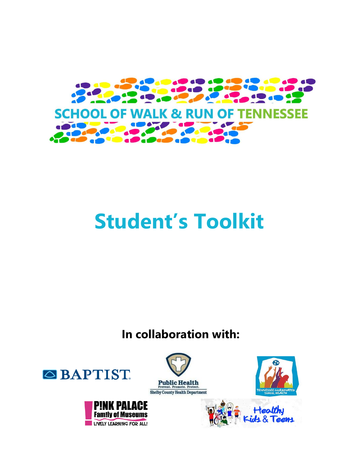

# **Student's Toolkit**

### **In collaboration with:**





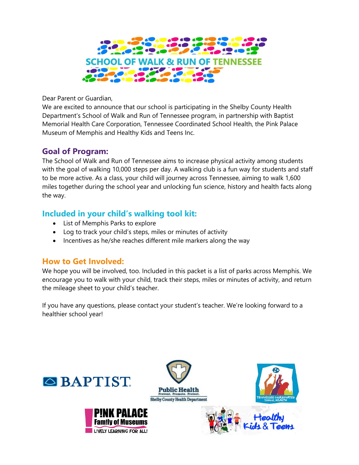

Dear Parent or Guardian,

We are excited to announce that our school is participating in the Shelby County Health Department's School of Walk and Run of Tennessee program, in partnership with Baptist Memorial Health Care Corporation, Tennessee Coordinated School Health, the Pink Palace Museum of Memphis and Healthy Kids and Teens Inc.

#### **Goal of Program:**

The School of Walk and Run of Tennessee aims to increase physical activity among students with the goal of walking 10,000 steps per day. A walking club is a fun way for students and staff to be more active. As a class, your child will journey across Tennessee, aiming to walk 1,600 miles together during the school year and unlocking fun science, history and health facts along the way.

#### **Included in your child's walking tool kit:**

- List of Memphis Parks to explore
- Log to track your child's steps, miles or minutes of activity
- Incentives as he/she reaches different mile markers along the way

#### **How to Get Involved:**

We hope you will be involved, too. Included in this packet is a list of parks across Memphis. We encourage you to walk with your child, track their steps, miles or minutes of activity, and return the mileage sheet to your child's teacher.

If you have any questions, please contact your student's teacher. We're looking forward to a healthier school year!





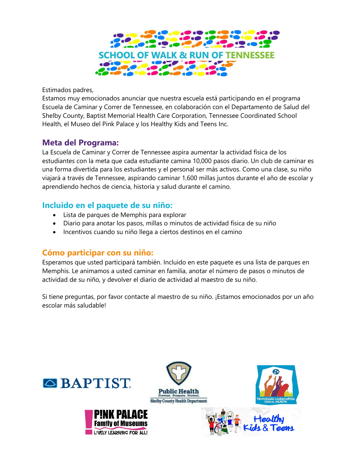

Estimados padres,

Estamos muy emocionados anunciar que nuestra escuela está participando en el programa Escuela de Caminar y Correr de Tennessee, en colaboración con el Departamento de Salud del Shelby County, Baptist Memorial Health Care Corporation, Tennessee Coordinated School Health, el Museo del Pink Palace y los Healthy Kids and Teens Inc.

#### **Meta del Programa:**

La Escuela de Caminar y Correr de Tennessee aspira aumentar la actividad física de los estudiantes con la meta que cada estudiante camina 10,000 pasos diario. Un club de caminar es una forma divertida para los estudiantes y el personal ser más activos. Como una clase, su niño viajará a través de Tennessee, aspirando caminar 1,600 millas juntos durante el año de escolar y aprendiendo hechos de ciencia, historia y salud durante el camino.

#### **Incluido en el paquete de su niño:**

- Lista de parques de Memphis para explorar
- Diario para anotar los pasos, millas o minutos de actividad física de su niño
- Incentivos cuando su niño llega a ciertos destinos en el camino

#### **Cómo participar con su niño:**

Esperamos que usted participará también. Incluido en este paquete es una lista de parques en Memphis. Le animamos a usted caminar en familia, anotar el número de pasos o minutos de actividad de su niño, y devolver el diario de actividad al maestro de su niño.

Si tiene preguntas, por favor contacte al maestro de su niño. ¡Estamos emocionados por un año escolar más saludable!

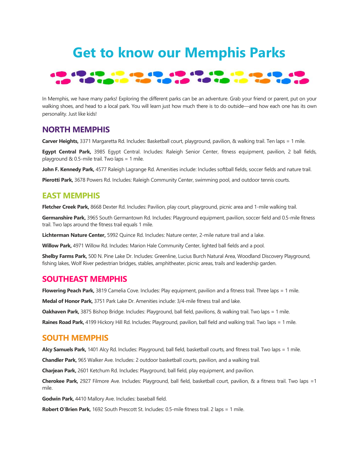## **Get to know our Memphis Parks**



In Memphis, we have many parks! Exploring the different parks can be an adventure. Grab your friend or parent, put on your walking shoes, and head to a local park. You will learn just how much there is to do outside—and how each one has its own personality. Just like kids!

#### **NORTH MEMPHIS**

**Carver Heights,** 3371 Margaretta Rd. Includes: Basketball court, playground, pavilion, & walking trail. Ten laps = 1 mile.

**Egypt Central Park,** 3985 Egypt Central. Includes: Raleigh Senior Center, fitness equipment, pavilion, 2 ball fields, playground & 0.5-mile trail. Two laps = 1 mile.

**John F. Kennedy Park,** 4577 Raleigh Lagrange Rd. Amenities include: Includes softball fields, soccer fields and nature trail.

**Pierotti Park,** 3678 Powers Rd. Includes: Raleigh Community Center, swimming pool, and outdoor tennis courts.

#### **EAST MEMPHIS**

**Fletcher Creek Park,** 8668 Dexter Rd. Includes: Pavilion, play court, playground, picnic area and 1-mile walking trail.

**Germanshire Park,** 3965 South Germantown Rd. Includes: Playground equipment, pavilion, soccer field and 0.5-mile fitness trail. Two laps around the fitness trail equals 1 mile.

**Lichterman Nature Center,** 5992 Quince Rd. Includes: Nature center, 2-mile nature trail and a lake.

**Willow Park,** 4971 Willow Rd. Includes: Marion Hale Community Center, lighted ball fields and a pool.

**Shelby Farms Park,** 500 N. Pine Lake Dr. Includes: Greenline, Lucius Burch Natural Area, Woodland Discovery Playground, fishing lakes, Wolf River pedestrian bridges, stables, amphitheater, picnic areas, trails and leadership garden.

#### **SOUTHEAST MEMPHIS**

**Flowering Peach Park,** 3819 Camelia Cove. Includes: Play equipment, pavilion and a fitness trail. Three laps = 1 mile.

**Medal of Honor Park,** 3751 Park Lake Dr. Amenities include: 3/4-mile fitness trail and lake.

**Oakhaven Park,** 3875 Bishop Bridge. Includes: Playground, ball field, pavilions, & walking trail. Two laps = 1 mile.

**Raines Road Park,** 4199 Hickory Hill Rd. Includes: Playground, pavilion, ball field and walking trail. Two laps = 1 mile.

#### **SOUTH MEMPHIS**

**Alcy Samuels Park,** 1401 Alcy Rd. Includes: Playground, ball field, basketball courts, and fitness trail. Two laps = 1 mile.

**Chandler Park,** 965 Walker Ave. Includes: 2 outdoor basketball courts, pavilion, and a walking trail.

**Charjean Park,** 2601 Ketchum Rd. Includes: Playground, ball field, play equipment, and pavilion.

**Cherokee Park,** 2927 Filmore Ave. Includes: Playground, ball field, basketball court, pavilion, & a fitness trail. Two laps =1 mile.

**Godwin Park,** 4410 Mallory Ave. Includes: baseball field.

**Robert O'Brien Park,** 1692 South Prescott St. Includes: 0.5-mile fitness trail. 2 laps = 1 mile.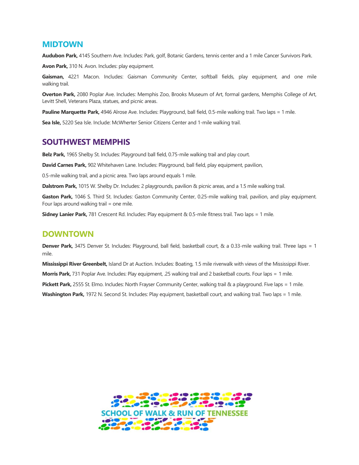#### **MIDTOWN**

**Audubon Park,** 4145 Southern Ave. Includes: Park, golf, Botanic Gardens, tennis center and a 1 mile Cancer Survivors Park.

**Avon Park,** 310 N. Avon. Includes: play equipment.

**Gaisman,** 4221 Macon. Includes: Gaisman Community Center, softball fields, play equipment, and one mile walking trail.

**Overton Park,** 2080 Poplar Ave. Includes: Memphis Zoo, Brooks Museum of Art, formal gardens, Memphis College of Art, Levitt Shell, Veterans Plaza, statues, and picnic areas.

Pauline Marquette Park, 4946 Alrose Ave. Includes: Playground, ball field, 0.5-mile walking trail. Two laps = 1 mile.

**Sea Isle,** 5220 Sea Isle. Include: McWherter Senior Citizens Center and 1-mile walking trail.

#### **SOUTHWEST MEMPHIS**

**Belz Park,** 1965 Shelby St. Includes: Playground ball field, 0.75-mile walking trail and play court.

**David Carnes Park,** 902 Whitehaven Lane. Includes: Playground, ball field, play equipment, pavilion,

0.5-mile walking trail, and a picnic area. Two laps around equals 1 mile.

**Dalstrom Park,** 1015 W. Shelby Dr. Includes: 2 playgrounds, pavilion & picnic areas, and a 1.5 mile walking trail.

**Gaston Park,** 1046 S. Third St. Includes: Gaston Community Center, 0.25-mile walking trail, pavilion, and play equipment. Four laps around walking trail = one mile.

**Sidney Lanier Park,** 781 Crescent Rd. Includes: Play equipment & 0.5-mile fitness trail. Two laps = 1 mile.

#### **DOWNTOWN**

**Denver Park,** 3475 Denver St. Includes: Playground, ball field, basketball court, & a 0.33-mile walking trail. Three laps = 1 mile.

**Mississippi River Greenbelt,** Island Dr at Auction. Includes: Boating, 1.5 mile riverwalk with views of the Mississippi River.

**Morris Park,** 731 Poplar Ave. Includes: Play equipment, .25 walking trail and 2 basketball courts. Four laps = 1 mile.

**Pickett Park,** 2555 St. Elmo. Includes: North Frayser Community Center, walking trail & a playground. Five laps = 1 mile.

**Washington Park,** 1972 N. Second St. Includes: Play equipment, basketball court, and walking trail. Two laps = 1 mile.

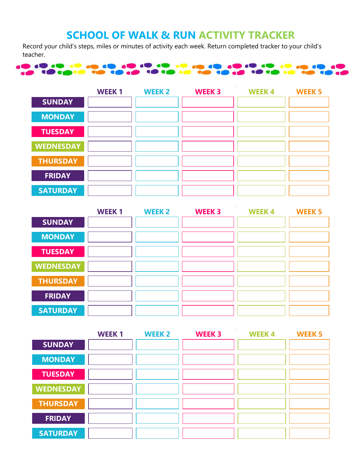### **SCHOOL OF WALK & RUN ACTIVITY TRACKER**

Record your child's steps, miles or minutes of activity each week. Return completed tracker to your child's teacher.



|                  | <b>WEEK1</b> | <b>WEEK 2</b> | <b>WEEK 3</b> | <b>WEEK4</b> | <b>WEEK 5</b> |
|------------------|--------------|---------------|---------------|--------------|---------------|
| <b>SUNDAY</b>    |              |               |               |              |               |
| <b>MONDAY</b>    |              |               |               |              |               |
| <b>TUESDAY</b>   |              |               |               |              |               |
| <b>WEDNESDAY</b> |              |               |               |              |               |
| <b>THURSDAY</b>  |              |               |               |              |               |
| <b>FRIDAY</b>    |              |               |               |              |               |
| <b>SATURDAY</b>  |              |               |               |              |               |

|                  | <b>WEEK1</b> | <b>WEEK 2</b> | <b>WEEK 3</b> | <b>WEEK4</b> | <b>WEEK 5</b> |
|------------------|--------------|---------------|---------------|--------------|---------------|
| <b>SUNDAY</b>    |              |               |               |              |               |
| <b>MONDAY</b>    |              |               |               |              |               |
| <b>TUESDAY</b>   |              |               |               |              |               |
| <b>WEDNESDAY</b> |              |               |               |              |               |
| <b>THURSDAY</b>  |              |               |               |              |               |
| <b>FRIDAY</b>    |              |               |               |              |               |
| <b>SATURDAY</b>  |              |               |               |              |               |

|                  | <b>WEEK1</b> | <b>WEEK 2</b> | <b>WEEK 3</b> | <b>WEEK4</b> | <b>WEEK 5</b> |
|------------------|--------------|---------------|---------------|--------------|---------------|
| <b>SUNDAY</b>    |              |               |               |              |               |
| <b>MONDAY</b>    |              |               |               |              |               |
| <b>TUESDAY</b>   |              |               |               |              |               |
| <b>WEDNESDAY</b> |              |               |               |              |               |
| <b>THURSDAY</b>  |              |               |               |              |               |
| <b>FRIDAY</b>    |              |               |               |              |               |
| <b>SATURDAY</b>  |              |               |               |              |               |